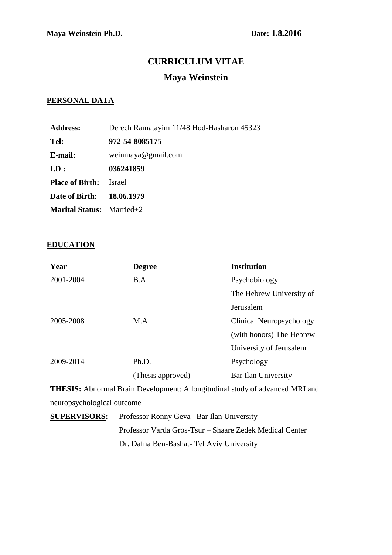## **CURRICULUM VITAE**

# **Maya Weinstein**

### **PERSONAL DATA**

| <b>Address:</b>                  | Derech Ramatayim 11/48 Hod-Hasharon 45323 |
|----------------------------------|-------------------------------------------|
| Tel:                             | 972-54-8085175                            |
| E-mail:                          | weinmaya@gmail.com                        |
| ID:                              | 036241859                                 |
| <b>Place of Birth:</b>           | <b>Israel</b>                             |
| Date of Birth: 18.06.1979        |                                           |
| <b>Marital Status:</b> Married+2 |                                           |

#### **EDUCATION**

| Year      | <b>Degree</b>     | <b>Institution</b>       |
|-----------|-------------------|--------------------------|
| 2001-2004 | B.A.              | Psychobiology            |
|           |                   | The Hebrew University of |
|           |                   | Jerusalem                |
| 2005-2008 | M.A               | Clinical Neuropsychology |
|           |                   | (with honors) The Hebrew |
|           |                   | University of Jerusalem  |
| 2009-2014 | Ph.D.             | Psychology               |
|           | (Thesis approved) | Bar Ilan University      |

**THESIS:** Abnormal Brain Development: A longitudinal study of advanced MRI and neuropsychological outcome

**SUPERVISORS:** Professor Ronny Geva –Bar Ilan University Professor Varda Gros-Tsur – Shaare Zedek Medical Center Dr. Dafna Ben-Bashat- Tel Aviv University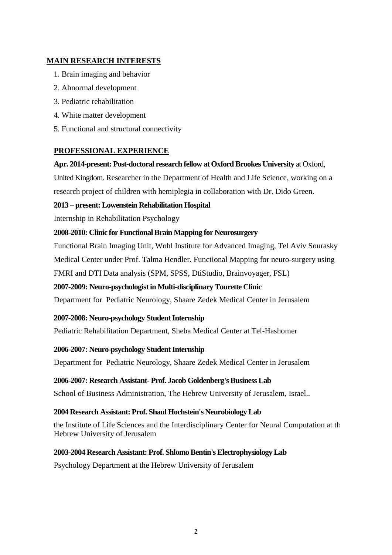## **MAIN RESEARCH INTERESTS**

- 1. Brain imaging and behavior
- 2. Abnormal development
- 3. Pediatric rehabilitation
- 4. White matter development
- 5. Functional and structural connectivity

## **PROFESSIONAL EXPERIENCE**

### **Apr. 2014-present: Post-doctoral research fellow at Oxford Brookes University** at Oxford,

United Kingdom. Researcher in the Department of Health and Life Science, working on a research project of children with hemiplegia in collaboration with Dr. Dido Green.

### **2013 – present: Lowenstein Rehabilitation Hospital**

Internship in Rehabilitation Psychology

### **2008-2010: Clinic for Functional Brain Mapping for Neurosurgery**

Functional Brain Imaging Unit, Wohl Institute for Advanced Imaging, Tel Aviv Sourasky Medical Center under Prof. Talma Hendler. Functional Mapping for neuro-surgery using FMRI and DTI Data analysis (SPM, SPSS, DtiStudio, Brainvoyager, FSL)

### **2007-2009: Neuro-psychologist in Multi-disciplinary Tourette Clinic**

Department for Pediatric Neurology, Shaare Zedek Medical Center in Jerusalem

### **2007-2008: Neuro-psychology Student Internship**

Pediatric Rehabilitation Department, Sheba Medical Center at Tel-Hashomer

### **2006-2007: Neuro-psychology Student Internship**

Department for Pediatric Neurology, Shaare Zedek Medical Center in Jerusalem

### **2006-2007: Research Assistant- Prof. Jacob Goldenberg's Business Lab**

School of Business Administration, The Hebrew University of Jerusalem, Israel..

### **2004 Research Assistant: Prof. Shaul Hochstein's Neurobiology Lab**

the Institute of Life Sciences and the Interdisciplinary Center for Neural Computation at the Hebrew University of Jerusalem

### **2003-2004 Research Assistant: Prof. Shlomo Bentin's Electrophysiology Lab**

Psychology Department at the Hebrew University of Jerusalem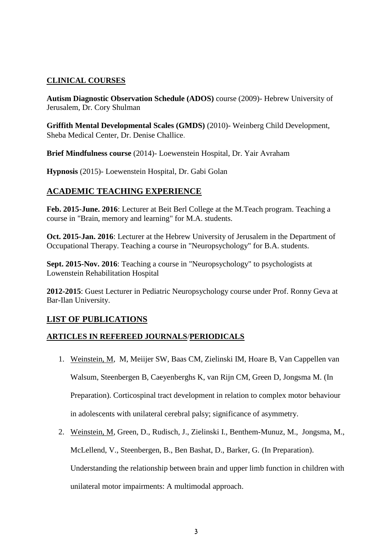## **CLINICAL COURSES**

**Autism Diagnostic Observation Schedule (ADOS)** course (2009)- Hebrew University of Jerusalem, Dr. Cory Shulman

**Griffith Mental Developmental Scales (GMDS)** (2010)- Weinberg Child Development, Sheba Medical Center, Dr. Denise Challice.

**Brief Mindfulness course** (2014)- Loewenstein Hospital, Dr. Yair Avraham

**Hypnosis** (2015)- Loewenstein Hospital, Dr. Gabi Golan

# **ACADEMIC TEACHING EXPERIENCE**

**Feb. 2015-June. 2016**: Lecturer at Beit Berl College at the M.Teach program. Teaching a course in "Brain, memory and learning" for M.A. students.

**Oct. 2015-Jan. 2016**: Lecturer at the Hebrew University of Jerusalem in the Department of Occupational Therapy. Teaching a course in "Neuropsychology" for B.A. students.

**Sept. 2015-Nov. 2016:** Teaching a course in "Neuropsychology" to psychologists at Lowenstein Rehabilitation Hospital

**2012-2015**: Guest Lecturer in Pediatric Neuropsychology course under Prof. Ronny Geva at Bar-Ilan University.

## **LIST OF PUBLICATIONS**

### **ARTICLES IN REFEREED JOURNALS**/**PERIODICALS**

- 1. Weinstein, M, M, Meiijer SW, Baas CM, Zielinski IM, Hoare B, Van Cappellen van Walsum, Steenbergen B, Caeyenberghs K, van Rijn CM, Green D, Jongsma M. (In Preparation). Corticospinal tract development in relation to complex motor behaviour in adolescents with unilateral cerebral palsy; significance of asymmetry.
- 2. Weinstein, M, Green, D., Rudisch, J., Zielinski I., Benthem-Munuz, M., Jongsma, M., McLellend, V., Steenbergen, B., Ben Bashat, D., Barker, G. (In Preparation). Understanding the relationship between brain and upper limb function in children with unilateral motor impairments: A multimodal approach.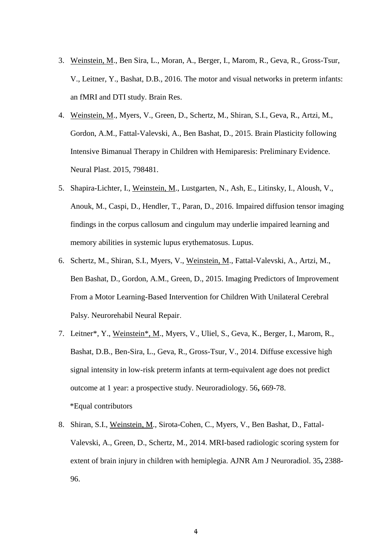- 3. Weinstein, M., Ben Sira, L., Moran, A., Berger, I., Marom, R., Geva, R., Gross-Tsur, V., Leitner, Y., Bashat, D.B., 2016. The motor and visual networks in preterm infants: an fMRI and DTI study. Brain Res.
- 4. Weinstein, M., Myers, V., Green, D., Schertz, M., Shiran, S.I., Geva, R., Artzi, M., Gordon, A.M., Fattal-Valevski, A., Ben Bashat, D., 2015. Brain Plasticity following Intensive Bimanual Therapy in Children with Hemiparesis: Preliminary Evidence. Neural Plast. 2015, 798481.
- 5. Shapira-Lichter, I., Weinstein, M., Lustgarten, N., Ash, E., Litinsky, I., Aloush, V., Anouk, M., Caspi, D., Hendler, T., Paran, D., 2016. Impaired diffusion tensor imaging findings in the corpus callosum and cingulum may underlie impaired learning and memory abilities in systemic lupus erythematosus. Lupus.
- 6. Schertz, M., Shiran, S.I., Myers, V., Weinstein, M., Fattal-Valevski, A., Artzi, M., Ben Bashat, D., Gordon, A.M., Green, D., 2015. Imaging Predictors of Improvement From a Motor Learning-Based Intervention for Children With Unilateral Cerebral Palsy. Neurorehabil Neural Repair.
- 7. Leitner\*, Y., Weinstein\*, M., Myers, V., Uliel, S., Geva, K., Berger, I., Marom, R., Bashat, D.B., Ben-Sira, L., Geva, R., Gross-Tsur, V., 2014. Diffuse excessive high signal intensity in low-risk preterm infants at term-equivalent age does not predict outcome at 1 year: a prospective study. Neuroradiology. 56**,** 669-78. \*Equal contributors
- 8. Shiran, S.I., Weinstein, M., Sirota-Cohen, C., Myers, V., Ben Bashat, D., Fattal-Valevski, A., Green, D., Schertz, M., 2014. MRI-based radiologic scoring system for extent of brain injury in children with hemiplegia. AJNR Am J Neuroradiol. 35**,** 2388- 96.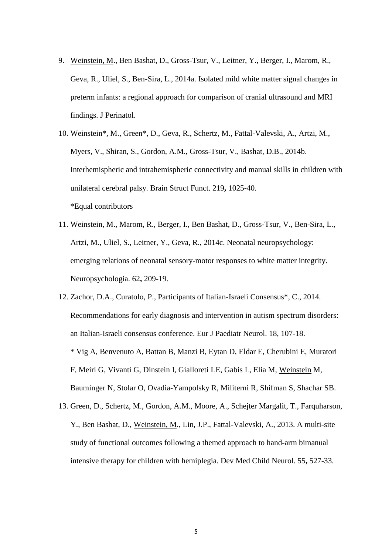- 9. Weinstein, M., Ben Bashat, D., Gross-Tsur, V., Leitner, Y., Berger, I., Marom, R., Geva, R., Uliel, S., Ben-Sira, L., 2014a. Isolated mild white matter signal changes in preterm infants: a regional approach for comparison of cranial ultrasound and MRI findings. J Perinatol.
- 10. Weinstein\*, M., Green\*, D., Geva, R., Schertz, M., Fattal-Valevski, A., Artzi, M., Myers, V., Shiran, S., Gordon, A.M., Gross-Tsur, V., Bashat, D.B., 2014b. Interhemispheric and intrahemispheric connectivity and manual skills in children with unilateral cerebral palsy. Brain Struct Funct. 219**,** 1025-40. \*Equal contributors
- 11. Weinstein, M., Marom, R., Berger, I., Ben Bashat, D., Gross-Tsur, V., Ben-Sira, L., Artzi, M., Uliel, S., Leitner, Y., Geva, R., 2014c. Neonatal neuropsychology: emerging relations of neonatal sensory-motor responses to white matter integrity. Neuropsychologia. 62**,** 209-19.
- 12. Zachor, D.A., Curatolo, P., Participants of Italian-Israeli Consensus\*, C., 2014. Recommendations for early diagnosis and intervention in autism spectrum disorders: an Italian-Israeli consensus conference. Eur J Paediatr Neurol. 18, 107-18. \* Vig A, Benvenuto A, Battan B, Manzi B, Eytan D, Eldar E, Cherubini E, Muratori F, Meiri G, Vivanti G, Dinstein I, Gialloreti LE, Gabis L, Elia M, Weinstein M, Bauminger N, Stolar O, Ovadia-Yampolsky R, Militerni R, Shifman S, Shachar SB.
- 13. Green, D., Schertz, M., Gordon, A.M., Moore, A., Schejter Margalit, T., Farquharson, Y., Ben Bashat, D., Weinstein, M., Lin, J.P., Fattal-Valevski, A., 2013. A multi-site study of functional outcomes following a themed approach to hand-arm bimanual intensive therapy for children with hemiplegia. Dev Med Child Neurol. 55**,** 527-33.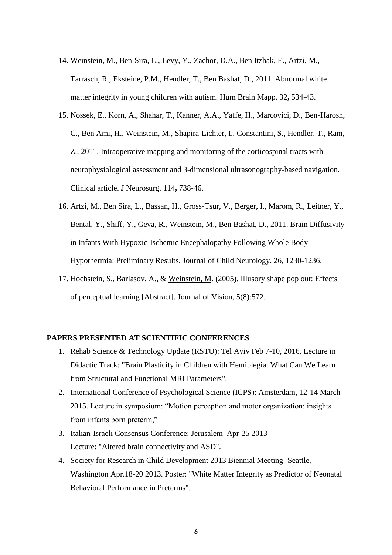- 14. Weinstein, M., Ben-Sira, L., Levy, Y., Zachor, D.A., Ben Itzhak, E., Artzi, M., Tarrasch, R., Eksteine, P.M., Hendler, T., Ben Bashat, D., 2011. Abnormal white matter integrity in young children with autism. Hum Brain Mapp. 32**,** 534-43.
- 15. Nossek, E., Korn, A., Shahar, T., Kanner, A.A., Yaffe, H., Marcovici, D., Ben-Harosh, C., Ben Ami, H., Weinstein, M., Shapira-Lichter, I., Constantini, S., Hendler, T., Ram, Z., 2011. Intraoperative mapping and monitoring of the corticospinal tracts with neurophysiological assessment and 3-dimensional ultrasonography-based navigation. Clinical article. J Neurosurg. 114**,** 738-46.
- 16. Artzi, M., Ben Sira, L., Bassan, H., Gross-Tsur, V., Berger, I., Marom, R., Leitner, Y., Bental, Y., Shiff, Y., Geva, R., Weinstein, M., Ben Bashat, D., 2011. Brain Diffusivity in Infants With Hypoxic-Ischemic Encephalopathy Following Whole Body Hypothermia: Preliminary Results. Journal of Child Neurology. 26, 1230-1236.
- 17. Hochstein, S., Barlasov, A., & Weinstein, M. (2005). Illusory shape pop out: Effects of perceptual learning [Abstract]. Journal of Vision, 5(8):572.

#### **PAPERS PRESENTED AT SCIENTIFIC CONFERENCES**

- 1. Rehab Science & Technology Update (RSTU): Tel Aviv Feb 7-10, 2016. Lecture in Didactic Track: "Brain Plasticity in Children with Hemiplegia: What Can We Learn from Structural and Functional MRI Parameters".
- 2. International Conference of Psychological Science (ICPS): Amsterdam, 12-14 March 2015. Lecture in symposium: "Motion perception and motor organization: insights from infants born preterm,"
- 3. Italian-Israeli Consensus Conference: Jerusalem Apr-25 2013 Lecture: "Altered brain connectivity and ASD".
- 4. Society for Research in Child Development 2013 Biennial Meeting- Seattle, Washington Apr.18-20 2013. Poster: "White Matter Integrity as Predictor of Neonatal Behavioral Performance in Preterms".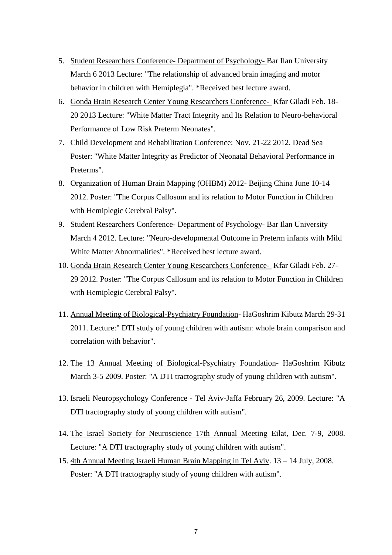- 5. Student Researchers Conference- Department of Psychology- Bar Ilan University March 6 2013 Lecture: "The relationship of advanced brain imaging and motor behavior in children with Hemiplegia". \*Received best lecture award.
- 6. Gonda Brain Research Center Young Researchers Conference- Kfar Giladi Feb. 18- 20 2013 Lecture: "White Matter Tract Integrity and Its Relation to Neuro-behavioral Performance of Low Risk Preterm Neonates".
- 7. Child Development and Rehabilitation Conference: Nov. 21-22 2012. Dead Sea Poster: "White Matter Integrity as Predictor of Neonatal Behavioral Performance in Preterms".
- 8. Organization of Human Brain Mapping (OHBM) 2012- Beijing China June 10-14 2012. Poster: "The Corpus Callosum and its relation to Motor Function in Children with Hemiplegic Cerebral Palsy".
- 9. Student Researchers Conference- Department of Psychology- Bar Ilan University March 4 2012. Lecture: "Neuro-developmental Outcome in Preterm infants with Mild White Matter Abnormalities". \*Received best lecture award.
- 10. Gonda Brain Research Center Young Researchers Conference- Kfar Giladi Feb. 27- 29 2012. Poster: "The Corpus Callosum and its relation to Motor Function in Children with Hemiplegic Cerebral Palsy".
- 11. Annual Meeting of Biological-Psychiatry Foundation- HaGoshrim Kibutz March 29-31 2011. Lecture:" DTI study of young children with autism: whole brain comparison and correlation with behavior".
- 12. The 13 Annual Meeting of Biological-Psychiatry Foundation- HaGoshrim Kibutz March 3-5 2009. Poster: "A DTI tractography study of young children with autism".
- 13. Israeli Neuropsychology Conference Tel Aviv-Jaffa February 26, 2009. Lecture: "A DTI tractography study of young children with autism".
- 14. The Israel Society for Neuroscience 17th Annual Meeting Eilat, Dec. 7-9, 2008. Lecture: "A DTI tractography study of young children with autism".
- 15. 4th Annual Meeting Israeli Human Brain Mapping in Tel Aviv. 13 14 July, 2008. Poster: "A DTI tractography study of young children with autism".